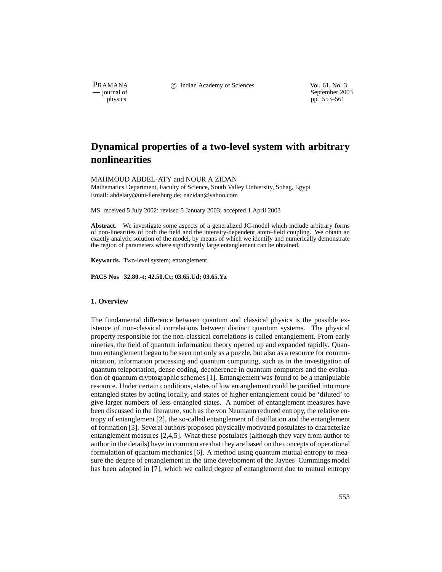PRAMANA C Indian Academy of Sciences Vol. 61, No. 3<br>
— journal of September 200

purnal of September 2003<br>
physics properties and the september 2003<br>
pp. 553–561 pp. 553–561

# **Dynamical properties of a two-level system with arbitrary nonlinearities**

MAHMOUD ABDEL-ATY and NOUR A ZIDAN

Mathematics Department, Faculty of Science, South Valley University, Sohag, Egypt Email: abdelaty@uni-flensburg.de; nazidan@yahoo.com

MS received 5 July 2002; revised 5 January 2003; accepted 1 April 2003

Abstract. We investigate some aspects of a generalized JC-model which include arbitrary forms of non-linearities of both the field and the intensity-dependent atom–field coupling. We obtain an exactly analytic solution of the model, by means of which we identify and numerically demonstrate the region of parameters where significantly large entanglement can be obtained.

**Keywords.** Two-level system; entanglement.

**PACS Nos 32.80.-t; 42.50.Ct; 03.65.Ud; 03.65.Yz**

# **1. Overview**

The fundamental difference between quantum and classical physics is the possible existence of non-classical correlations between distinct quantum systems. The physical property responsible for the non-classical correlations is called entanglement. From early nineties, the field of quantum information theory opened up and expanded rapidly. Quantum entanglement began to be seen not only as a puzzle, but also as a resource for communication, information processing and quantum computing, such as in the investigation of quantum teleportation, dense coding, decoherence in quantum computers and the evaluation of quantum cryptographic schemes [1]. Entanglement was found to be a manipulable resource. Under certain conditions, states of low entanglement could be purified into more entangled states by acting locally, and states of higher entanglement could be 'diluted' to give larger numbers of less entangled states. A number of entanglement measures have been discussed in the literature, such as the von Neumann reduced entropy, the relative entropy of entanglement [2], the so-called entanglement of distillation and the entanglement of formation [3]. Several authors proposed physically motivated postulates to characterize entanglement measures [2,4,5]. What these postulates (although they vary from author to author in the details) have in common are that they are based on the concepts of operational formulation of quantum mechanics [6]. A method using quantum mutual entropy to measure the degree of entanglement in the time development of the Jaynes–Cummings model has been adopted in [7], which we called degree of entanglement due to mutual entropy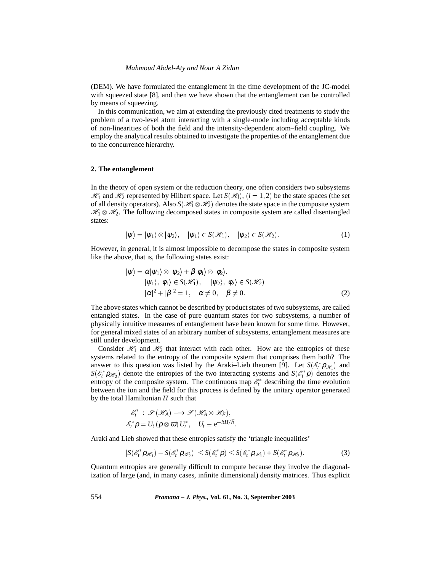#### *Mahmoud Abdel-Aty and Nour A Zidan*

(DEM). We have formulated the entanglement in the time development of the JC-model with squeezed state [8], and then we have shown that the entanglement can be controlled by means of squeezing.

In this communication, we aim at extending the previously cited treatments to study the problem of a two-level atom interacting with a single-mode including acceptable kinds of non-linearities of both the field and the intensity-dependent atom–field coupling. We employ the analytical results obtained to investigate the properties of the entanglement due to the concurrence hierarchy.

## **2. The entanglement**

In the theory of open system or the reduction theory, one often considers two subsystems  $\mathcal{H}_1$  and  $\mathcal{H}_2$  represented by Hilbert space. Let  $S(\mathcal{H}_i)$ ,  $(i = 1, 2)$  be the state spaces (the set of all density operators). Also  $S(\mathscr{H}_1 \otimes \mathscr{H}_2)$  denotes the state space in the composite system  $\mathcal{H}_1 \otimes \mathcal{H}_2$ . The following decomposed states in composite system are called disentangled states:

$$
|\psi\rangle = |\psi_1\rangle \otimes |\psi_2\rangle, \quad |\psi_1\rangle \in S(\mathscr{H}_1), \quad |\psi_2\rangle \in S(\mathscr{H}_2). \tag{1}
$$

However, in general, it is almost impossible to decompose the states in composite system like the above, that is, the following states exist:

$$
|\psi\rangle = \alpha |\psi_1\rangle \otimes |\psi_2\rangle + \beta |\phi_1\rangle \otimes |\phi_2\rangle, |\psi_1\rangle, |\phi_1\rangle \in S(\mathcal{H}_1), \quad |\psi_2\rangle, |\phi_2\rangle \in S(\mathcal{H}_2) |\alpha|^2 + |\beta|^2 = 1, \quad \alpha \neq 0, \quad \beta \neq 0.
$$
 (2)

The above states which cannot be described by product states of two subsystems, are called entangled states. In the case of pure quantum states for two subsystems, a number of physically intuitive measures of entanglement have been known for some time. However, for general mixed states of an arbitrary number of subsystems, entanglement measures are still under development.

Consider  $\mathcal{H}_1$  and  $\mathcal{H}_2$  that interact with each other. How are the entropies of these systems related to the entropy of the composite system that comprises them both? The answer to this question was listed by the Araki–Lieb theorem [9]. Let  $S(\mathscr{E}_t^* \rho_{\mathscr{H}_1})$  and  $S(\mathscr{E}_t^*\rho_{\mathscr{H}_2})$  denote the entropies of the two interacting systems and  $S(\mathscr{E}_t^*\rho)$  denotes the entropy of the composite system. The continuous map  $\mathcal{E}^*$  describing the time evolution between the ion and the field for this process is defined by the unitary operator generated by the total Hamiltonian *H* such that

$$
\begin{aligned} \mathscr{E}^*_t\;:\; \mathscr{S}\left(\mathscr{H}_A\right) &\longrightarrow \mathscr{S}\left(\mathscr{H}_A \otimes \mathscr{H}_F\right), \\ \mathscr{E}^*_t \bm{\rho} &= U_t\left(\bm{\rho}\otimes \bm{\varpi}\right)U^*_t, \quad U_t \equiv \mathsf{e}^{-\mathrm{i} tH/\hbar}. \end{aligned}
$$

Araki and Lieb showed that these entropies satisfy the 'triangle inequalities'

$$
|S(\mathscr{E}_t^* \rho_{\mathscr{H}_1}) - S(\mathscr{E}_t^* \rho_{\mathscr{H}_2})| \leq S(\mathscr{E}_t^* \rho) \leq S(\mathscr{E}_t^* \rho_{\mathscr{H}_1}) + S(\mathscr{E}_t^* \rho_{\mathscr{H}_2}). \tag{3}
$$

Quantum entropies are generally difficult to compute because they involve the diagonalization of large (and, in many cases, infinite dimensional) density matrices. Thus explicit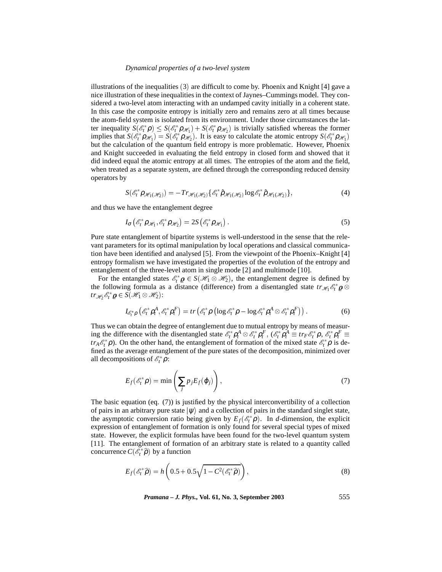### *Dynamical properties of a two-level system*

illustrations of the inequalities  $(3)$  are difficult to come by. Phoenix and Knight  $[4]$  gave a nice illustration of these inequalities in the context of Jaynes–Cummings model. They considered a two-level atom interacting with an undamped cavity initially in a coherent state. In this case the composite entropy is initially zero and remains zero at all times because the atom-field system is isolated from its environment. Under those circumstances the latter inequality  $S(\mathscr{E}_t^*\rho) \leq S(\mathscr{E}_t^*\rho_{\mathscr{H}_1}) + S(\mathscr{E}_t^*\rho_{\mathscr{H}_2})$  is trivially satisfied whereas the former implies that  $S(\mathscr{E}_t^* \rho_{\mathscr{H}_1}) = S(\mathscr{E}_t^* \rho_{\mathscr{H}_2})$ . It is easy to calculate the atomic entropy  $S(\mathscr{E}_t^* \rho_{\mathscr{H}_1})$ but the calculation of the quantum field entropy is more problematic. However, Phoenix and Knight succeeded in evaluating the field entropy in closed form and showed that it did indeed equal the atomic entropy at all times. The entropies of the atom and the field, when treated as a separate system, are defined through the corresponding reduced density operators by

$$
S(\mathscr{E}_t^* \rho_{\mathscr{H}_1(\mathscr{H}_2)}) = -Tr_{\mathscr{H}_1(\mathscr{H}_2)} \{ \mathscr{E}_t^* \hat{\rho}_{\mathscr{H}_1(\mathscr{H}_2)} \log \mathscr{E}_t^* \hat{\rho}_{\mathscr{H}_1(\mathscr{H}_2)} \},\tag{4}
$$

and thus we have the entanglement degree

$$
I_{\sigma} \left( \mathscr{E}_t^* \rho_{\mathscr{H}_1}, \mathscr{E}_t^* \rho_{\mathscr{H}_2} \right) = 2S \left( \mathscr{E}_t^* \rho_{\mathscr{H}_1} \right). \tag{5}
$$

Pure state entanglement of bipartite systems is well-understood in the sense that the relevant parameters for its optimal manipulation by local operations and classical communication have been identified and analysed [5]. From the viewpoint of the Phoenix–Knight [4] entropy formalism we have investigated the properties of the evolution of the entropy and entanglement of the three-level atom in single mode [2] and multimode [10].

For the entangled states  $\mathscr{E}_t^* \varrho \in S(\mathscr{H}_1 \otimes \mathscr{H}_2)$ , the entanglement degree is defined by the following formula as a distance (difference) from a disentangled state  $tr_{\mathcal{H}_1} \mathcal{E}_t^* \varrho \otimes$  $tr_{\mathscr{H}_2} \mathscr{E}_t^* \varrho \in S(\mathscr{H}_1 \otimes \mathscr{H}_2)$ :

$$
I_{\mathcal{E}_t^* \rho} \left( \mathcal{E}_t^* \rho_t^A, \mathcal{E}_t^* \rho_t^F \right) = tr \left( \mathcal{E}_t^* \rho \left( \log \mathcal{E}_t^* \rho - \log \mathcal{E}_t^* \rho_t^A \otimes \mathcal{E}_t^* \rho_t^F \right) \right). \tag{6}
$$

Thus we can obtain the degree of entanglement due to mutual entropy by means of measuring the difference with the disentangled state  $\mathcal{E}_t^* \rho_t^A \otimes \mathcal{E}_t^* \rho_t^F$ ,  $(\mathcal{E}_t^* \rho_t^A \equiv tr_F \mathcal{E}_t^* \rho$ ,  $\mathcal{E}_t^* \rho_t^F \equiv$ *tr*<sub>*A*</sub> $\mathcal{E}_t^*$  $\rho$ ). On the other hand, the entanglement of formation of the mixed state  $\mathcal{E}_t^*$  $\rho$  is defined as the average entanglement of the pure states of the decomposition, minimized over all decompositions of  $\mathscr{E}_t^* \rho$ :

$$
E_f(\mathscr{E}_t^*\rho) = \min\left(\sum_j p_j E_f(\varphi_j)\right),\tag{7}
$$

The basic equation (eq. (7)) is justified by the physical interconvertibility of a collection of pairs in an arbitrary pure state  $|\psi\rangle$  and a collection of pairs in the standard singlet state, the asymptotic conversion ratio being given by  $E_f(\mathscr{E}_t^*\rho)$ . In *d*-dimension, the explicit expression of entanglement of formation is only found for several special types of mixed state. However, the explicit formulas have been found for the two-level quantum system [11]. The entanglement of formation of an arbitrary state is related to a quantity called concurrence  $C(\mathscr{E}_t^* \widehat{\rho})$  by a function

$$
E_f(\mathscr{E}_t^*\widehat{\rho}) = h\left(0.5 + 0.5\sqrt{1 - C^2(\mathscr{E}_t^*\widehat{\rho})}\right),\tag{8}
$$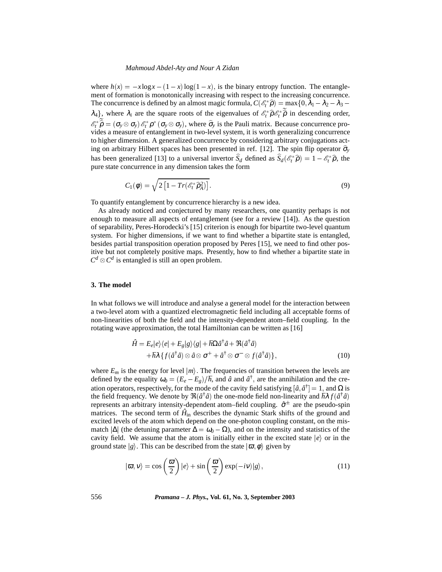#### *Mahmoud Abdel-Aty and Nour A Zidan*

where  $h(x) = -x \log x - (1-x) \log(1-x)$ , is the binary entropy function. The entanglement of formation is monotonically increasing with respect to the increasing concurrence. The concurrence is defined by an almost magic formula,  $C(\mathscr{E}_t^* \widehat{\boldsymbol{\rho}}) = \max\{0, \lambda_1 - \lambda_2 - \lambda_3 - \lambda_4\}$  $\lambda_4$ , where  $\lambda_i$  are the square roots of the eigenvalues of  $\mathcal{E}_t^* \hat{\rho} \mathcal{E}_t^* \hat{\rho}$  in descending order,  $\mathscr{E}_t^* \widehat{\rho} = (\sigma_y \otimes \sigma_y) \mathscr{E}_t^* \rho^* (\sigma_y \otimes \sigma_y)$ , where  $\widehat{\sigma}_y$  is the Pauli matrix. Because concurrence provides a measure of entanglement in two-level system, it is worth generalizing concurrence to higher dimension. A generalized concurrence by considering arbitrary conjugations acting on arbitrary Hilbert spaces has been presented in ref. [12]. The spin flip operator  $\hat{\sigma}_v$ has been generalized [13] to a universal invertor  $S_d$  defined as  $S_d(\mathscr{E}_t^*\hat{\rho}) = 1 - \mathscr{E}_t^*\hat{\rho}$ , the pure state concurrence in any dimension takes the form

$$
C_1(\phi) = \sqrt{2\left[1 - Tr(\mathscr{E}_t^*\widehat{\rho}_A^2)\right]}.
$$
\n(9)

To quantify entanglement by concurrence hierarchy is a new idea.

As already noticed and conjectured by many researchers, one quantity perhaps is not enough to measure all aspects of entanglement (see for a review [14]). As the question of separability, Peres-Horodecki's [15] criterion is enough for bipartite two-level quantum system. For higher dimensions, if we want to find whether a bipartite state is entangled, besides partial transposition operation proposed by Peres [15], we need to find other positive but not completely positive maps. Presently, how to find whether a bipartite state in  $C^d \otimes C^d$  is entangled is still an open problem.

# **3. The model**

In what follows we will introduce and analyse a general model for the interaction between a two-level atom with a quantized electromagnetic field including all acceptable forms of non-linearities of both the field and the intensity-dependent atom–field coupling. In the rotating wave approximation, the total Hamiltonian can be written as [16]

$$
\hat{H} = E_e|e\rangle\langle e| + E_g|g\rangle\langle g| + \hbar\Omega \hat{a}^\dagger \hat{a} + \Re(\hat{a}^\dagger \hat{a}) \n+ \hbar\lambda \{ f(\hat{a}^\dagger \hat{a}) \otimes \hat{a} \otimes \sigma^+ + \hat{a}^\dagger \otimes \sigma^- \otimes f(\hat{a}^\dagger \hat{a}) \},
$$
\n(10)

where  $E_m$  is the energy for level  $|m\rangle$ . The frequencies of transition between the levels are defined by the equality  $\omega_0 = (E_e - E_g)/\hbar$ , and  $\hat{a}$  and  $\hat{a}^{\dagger}$ , are the annihilation and the creation operators, respectively, for the mode of the cavity field satisfying  $[\hat{a}, \hat{a}^\dagger] = 1$ , and  $\Omega$  is the field frequency. We denote by  $\Re(\hat{a}^\dagger \hat{a})$  the one-mode field non-linearity and  $\hbar \lambda f(\hat{a}^\dagger \hat{a})$ represents an arbitrary intensity-dependent atom–field coupling.  $\hat{\sigma}^{\pm}$  are the pseudo-spin matrices. The second term of  $\hat{H}_{in}$  describes the dynamic Stark shifts of the ground and excited levels of the atom which depend on the one-photon coupling constant, on the mismatch  $|\Delta|$  (the detuning parameter  $\Delta = \omega_0 - \Omega$ ), and on the intensity and statistics of the cavity field. We assume that the atom is initially either in the excited state  $|e\rangle$  or in the ground state  $|g\rangle$ . This can be described from the state  $|\varpi,\phi\rangle$  given by

$$
|\varpi, v\rangle = \cos\left(\frac{\varpi}{2}\right)|e\rangle + \sin\left(\frac{\varpi}{2}\right)\exp(-iv)|g\rangle, \tag{11}
$$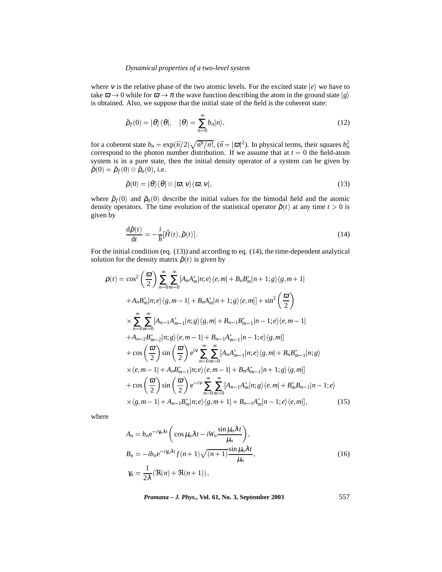# *Dynamical properties of a two-level system*

where v is the relative phase of the two atomic levels. For the excited state  $|e\rangle$  we have to take  $\bar{\omega} \to 0$  while for  $\bar{\omega} \to \pi$  the wave function describing the atom in the ground state  $|g\rangle$ is obtained. Also, we suppose that the initial state of the field is the coherent state:

$$
\hat{\rho}_f(0) = |\theta\rangle\langle\theta|, \quad |\theta\rangle = \sum_{n=0}^{\infty} b_n |n\rangle,\tag{12}
$$

for a coherent state  $b_n = \exp(\bar{n}/2)\sqrt{\bar{n}^n/n!}$ ,  $(\bar{n} = |\bar{\omega}|^2)$ . In physical terms, their squares  $b_n^2$ correspond to the photon number distribution. If we assume that at  $t = 0$  the field-atom system is in a pure state, then the initial density operator of a system can be given by  $\hat{\boldsymbol{\rho}}\left(0\right)=\hat{\boldsymbol{\rho}}_{f}(0)\otimes\hat{\boldsymbol{\rho}}_{a}(0),$  i.e.

$$
\hat{\rho}(0) = |\theta\rangle\langle\theta| \otimes |\varpi, v\rangle\langle\varpi, v|,\tag{13}
$$

where  $\hat{\rho}_f(0)$  and  $\hat{\rho}_a(0)$  describe the initial values for the bimodal field and the atomic density operators. The time evolution of the statistical operator  $\hat{\rho}(t)$  at any time  $t > 0$  is given by

$$
\frac{\mathrm{d}\hat{\rho}(t)}{\mathrm{d}t} = -\frac{i}{\hbar}[\hat{H}(t), \hat{\rho}(t)].
$$
\n(14)

For the initial condition (eq. (13)) and according to eq. (14), the time-dependent analytical solution for the density matrix  $\hat{\rho}(t)$  is given by

$$
\rho(t) = \cos^2\left(\frac{\omega}{2}\right) \sum_{n=0}^{\infty} \sum_{m=0}^{\infty} [A_n A_m^* | n; e\rangle \langle e, m | + B_n B_m^* | n + 1; g\rangle \langle g, m + 1 |+ A_n B_m^* | n; e\rangle \langle g, m - 1 | + B_n A_m^* | n + 1; g\rangle \langle e, m |] + \sin^2\left(\frac{\omega}{2}\right) \times \sum_{n=0}^{\infty} \sum_{m=0}^{\infty} [A_{n-1} A_{m-1}^* | n; g\rangle \langle g, m | + B_{n-1} B_{m-1}^* | n - 1; e\rangle \langle e, m - 1 |+ A_{n-2} B_{m-2}^* | n; g\rangle \langle e, m - 1 | + B_{n-1} A_{m-1}^* | n - 1; e\rangle \langle g, m |]+ \cos\left(\frac{\omega}{2}\right) \sin\left(\frac{\omega}{2}\right) e^{i\nu} \sum_{n=0}^{\infty} \sum_{m=0}^{\infty} [A_n A_{m-1}^* | n; e\rangle \langle g, m | + B_n B_{m-1}^* | n; g\rangle \times \langle e, m - 1 | + A_n B_{m-1}^* | n; e\rangle \langle e, m - 1 | + B_n A_{m-1}^* | n + 1; g\rangle \langle g, m |]+ \cos\left(\frac{\omega}{2}\right) \sin\left(\frac{\omega}{2}\right) e^{-i\nu} \sum_{n=0}^{\infty} \sum_{m=0}^{\infty} [A_{n-1} A_m^* | n; g\rangle \langle e, m | + B_m^* B_{n-1} | n - 1; e\rangle \times \langle g, m - 1 | + A_{n-1} B_m^* | n; e\rangle \langle g, m + 1 | + B_{n-1} A_m^* | n - 1; e\rangle \langle e, m |], \qquad (15)
$$

where

$$
A_n = b_n e^{-i\gamma_n \lambda t} \left( \cos \mu_n \lambda t - iW_n \frac{\sin \mu_n \lambda t}{\mu_n} \right),
$$
  
\n
$$
B_n = -ib_n e^{-i\gamma_n \lambda t} f(n+1) \sqrt{(n+1) \frac{\sin \mu_n \lambda t}{\mu_n}},
$$
  
\n
$$
\gamma_n = \frac{1}{2\lambda} (\Re(n) + \Re(n+1)),
$$
\n(16)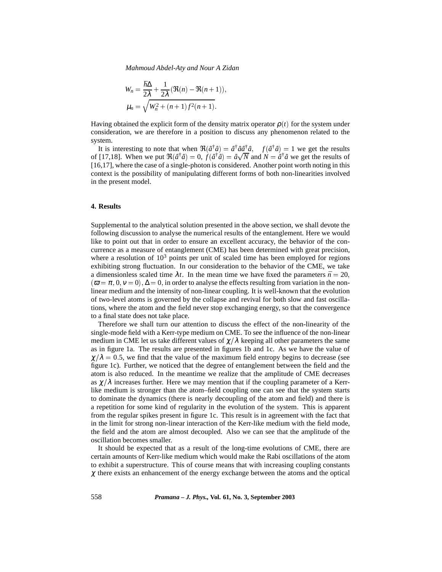*Mahmoud Abdel-Aty and Nour A Zidan*

$$
W_n = \frac{\hbar \Delta}{2\lambda} + \frac{1}{2\lambda} (\Re(n) - \Re(n+1)),
$$
  

$$
\mu_n = \sqrt{W_n^2 + (n+1)f^2(n+1)}.
$$

Having obtained the explicit form of the density matrix operator  $\rho(t)$  for the system under consideration, we are therefore in a position to discuss any phenomenon related to the system.

It is interesting to note that when  $\Re(\hat{a}^\dagger \hat{a}) = \hat{a}^\dagger \hat{a} \hat{a}^\dagger \hat{a}$ ,  $f(\hat{a}^\dagger \hat{a}) = 1$  we get the results of [17,18]. When we put  $\Re(\hat{a}^\dagger \hat{a}) = 0$ ,  $f(\hat{a}^\dagger \hat{a}) = \hat{a}\sqrt{N}$  and  $N = \hat{a}^\dagger \hat{a}$  we get the results of [16,17], where the case of a single-photon is considered. Another point worth noting in this context is the possibility of manipulating different forms of both non-linearities involved in the present model.

## **4. Results**

Supplemental to the analytical solution presented in the above section, we shall devote the following discussion to analyse the numerical results of the entanglement. Here we would like to point out that in order to ensure an excellent accuracy, the behavior of the concurrence as a measure of entanglement (CME) has been determined with great precision, where a resolution of  $10<sup>3</sup>$  points per unit of scaled time has been employed for regions exhibiting strong fluctuation. In our consideration to the behavior of the CME, we take a dimensionless scaled time  $\lambda t$ . In the mean time we have fixed the parameters  $\bar{n} = 20$ ,  $(\bar{\omega} = \pi, 0, v = 0), \Delta = 0$ , in order to analyse the effects resulting from variation in the nonlinear medium and the intensity of non-linear coupling. It is well-known that the evolution of two-level atoms is governed by the collapse and revival for both slow and fast oscillations, where the atom and the field never stop exchanging energy, so that the convergence to a final state does not take place.

Therefore we shall turn our attention to discuss the effect of the non-linearity of the single-mode field with a Kerr-type medium on CME. To see the influence of the non-linear medium in CME let us take different values of  $\chi/\lambda$  keeping all other parameters the same as in figure 1a. The results are presented in figures 1b and 1c. As we have the value of  $\chi/\lambda = 0.5$ , we find that the value of the maximum field entropy begins to decrease (see figure 1c). Further, we noticed that the degree of entanglement between the field and the atom is also reduced. In the meantime we realize that the amplitude of CME decreases as  $\chi/\lambda$  increases further. Here we may mention that if the coupling parameter of a Kerrlike medium is stronger than the atom–field coupling one can see that the system starts to dominate the dynamics (there is nearly decoupling of the atom and field) and there is a repetition for some kind of regularity in the evolution of the system. This is apparent from the regular spikes present in figure 1c. This result is in agreement with the fact that in the limit for strong non-linear interaction of the Kerr-like medium with the field mode, the field and the atom are almost decoupled. Also we can see that the amplitude of the oscillation becomes smaller.

It should be expected that as a result of the long-time evolutions of CME, there are certain amounts of Kerr-like medium which would make the Rabi oscillations of the atom to exhibit a superstructure. This of course means that with increasing coupling constants  $\chi$  there exists an enhancement of the energy exchange between the atoms and the optical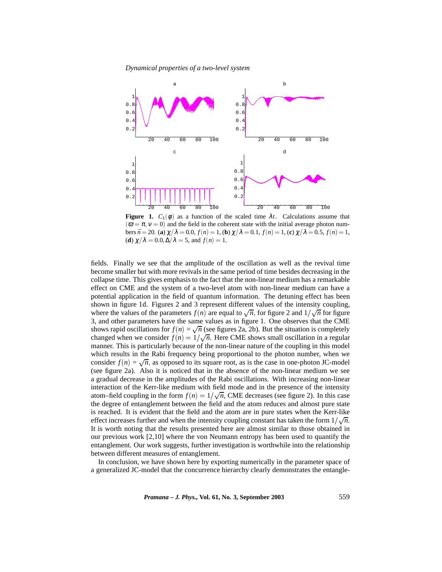*Dynamical properties of a two-level system*



**Figure 1.**  $C_1(\phi)$  as a function of the scaled time  $\lambda t$ . Calculations assume that  $(\bar{\omega} = \pi, v = 0)$  and the field in the coherent state with the initial average photon num- $\text{bers } \vec{n} = 20. \text{ (a) } \chi/\lambda = 0.0, f(n) = 1, \text{ (b) } \chi/\lambda = 0.1, f(n) = 1, \text{ (c) } \chi/\lambda = 0.5, f(n) = 1,$ (**d**)  $\chi/\lambda = 0.0, \Delta/\lambda = 5$ , and  $f(n) = 1$ .

fields. Finally we see that the amplitude of the oscillation as well as the revival time become smaller but with more revivals in the same period of time besides decreasing in the collapse time. This gives emphasis to the fact that the non-linear medium has a remarkable effect on CME and the system of a two-level atom with non-linear medium can have a potential application in the field of quantum information. The detuning effect has been shown in figure 1d. Figures 2 and 3 represent different values of the intensity coupling, where the values of the parameters  $f(n)$  are equal to  $\sqrt{n}$ , for figure 2 and  $1/\sqrt{n}$  for figure 3, and other parameters have the same values as in figure 1. One observes that the CME shows rapid oscillations for  $f(n) = \sqrt{n}$  (see figures 2a, 2b). But the situation is completely changed when we consider  $f(n) = 1/\sqrt{n}$ . Here CME shows small oscillation in a regular manner. This is particularly because of the non-linear nature of the coupling in this model which results in the Rabi frequency being proportional to the photon number, when we consider  $f(n) = \sqrt{n}$ , as opposed to its square root, as is the case in one-photon JC-model (see figure 2a). Also it is noticed that in the absence of the non-linear medium we see a gradual decrease in the amplitudes of the Rabi oscillations. With increasing non-linear interaction of the Kerr-like medium with field mode and in the presence of the intensity atom–field coupling in the form  $f(n) = 1/\sqrt{n}$ , CME decreases (see figure 2). In this case the degree of entanglement between the field and the atom reduces and almost pure state is reached. It is evident that the field and the atom are in pure states when the Kerr-like effect increases further and when the intensity coupling constant has taken the form  $1/\sqrt{n}$ . It is worth noting that the results presented here are almost similar to those obtained in our previous work [2,10] where the von Neumann entropy has been used to quantify the entanglement. Our work suggests, further investigation is worthwhile into the relationship between different measures of entanglement.

In conclusion, we have shown here by exporting numerically in the parameter space of a generalized JC-model that the concurrence hierarchy clearly demonstrates the entangle-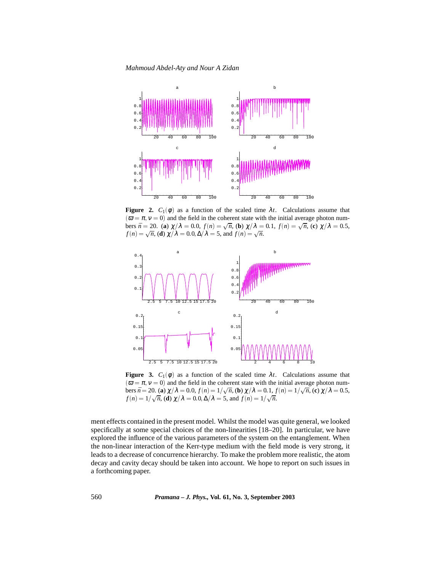*Mahmoud Abdel-Aty and Nour A Zidan*



**Figure 2.**  $C_1(\phi)$  as a function of the scaled time  $\lambda t$ . Calculations assume that  $(\bar{\omega} = \pi, v = 0)$  and the field in the coherent state with the initial average photon numbers  $\bar{n} = 20$ . (**a**)  $\chi/\lambda = 0.0$ ,  $f(n) = \sqrt{n}$ , (**b**)  $\chi/\lambda = 0.1$ ,  $f(n) = \sqrt{n}$ , (**c**)  $\chi/\lambda = 0.5$ ,  $f(n) = \sqrt{n}$ , **(d)**  $\chi/\lambda = 0.0$ ,  $\Delta/\lambda = 5$ , and  $f(n) = \sqrt{n}$ .



**Figure 3.**  $C_1(\phi)$  as a function of the scaled time  $\lambda t$ . Calculations assume that  $(\bar{\omega} = \pi, v = 0)$  and the field in the coherent state with the initial average photon numbers  $\bar{n} = 20$ . (**a**)  $\chi/\lambda = 0.0$ ,  $f(n) = 1/\sqrt{n}$ , (**b**)  $\chi/\lambda = 0.1$ ,  $f(n) = 1/\sqrt{n}$ , (**c**)  $\chi/\lambda = 0.5$ ,  $f(n) = 1/\sqrt{n}$ , (**d**)  $\chi/\lambda = 0.0, \Delta/\lambda = 5$ , and  $f(n) = 1/\sqrt{n}$ .

ment effects contained in the present model. Whilst the model was quite general, we looked specifically at some special choices of the non-linearities [18–20]. In particular, we have explored the influence of the various parameters of the system on the entanglement. When the non-linear interaction of the Kerr-type medium with the field mode is very strong, it leads to a decrease of concurrence hierarchy. To make the problem more realistic, the atom decay and cavity decay should be taken into account. We hope to report on such issues in a forthcoming paper.